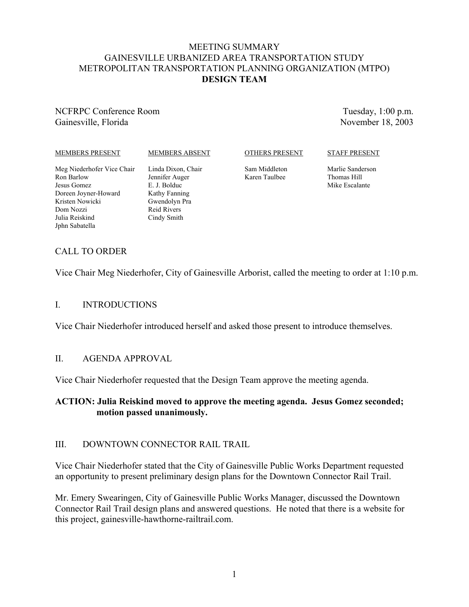## MEETING SUMMARY GAINESVILLE URBANIZED AREA TRANSPORTATION STUDY METROPOLITAN TRANSPORTATION PLANNING ORGANIZATION (MTPO) **DESIGN TEAM**

## NCFRPC Conference Room Gainesville, Florida

Tuesday, 1:00 p.m. November 18, 2003

#### MEMBERS PRESENT

#### MEMBERS ABSENT

#### OTHERS PRESENT

STAFF PRESENT

Meg Niederhofer Vice Chair Ron Barlow Jesus Gomez Doreen Joyner-Howard Kristen Nowicki Dom Nozzi Julia Reiskind Jphn Sabatella

Linda Dixon, Chair Jennifer Auger E. J. Bolduc Kathy Fanning Gwendolyn Pra Reid Rivers Cindy Smith

Sam Middleton Karen Taulbee

Marlie Sanderson Thomas Hill Mike Escalante

# CALL TO ORDER

Vice Chair Meg Niederhofer, City of Gainesville Arborist, called the meeting to order at 1:10 p.m.

## I. INTRODUCTIONS

Vice Chair Niederhofer introduced herself and asked those present to introduce themselves.

## II. AGENDA APPROVAL

Vice Chair Niederhofer requested that the Design Team approve the meeting agenda.

## **ACTION: Julia Reiskind moved to approve the meeting agenda. Jesus Gomez seconded; motion passed unanimously.**

## III. DOWNTOWN CONNECTOR RAIL TRAIL

Vice Chair Niederhofer stated that the City of Gainesville Public Works Department requested an opportunity to present preliminary design plans for the Downtown Connector Rail Trail.

Mr. Emery Swearingen, City of Gainesville Public Works Manager, discussed the Downtown Connector Rail Trail design plans and answered questions. He noted that there is a website for this project, gainesville-hawthorne-railtrail.com.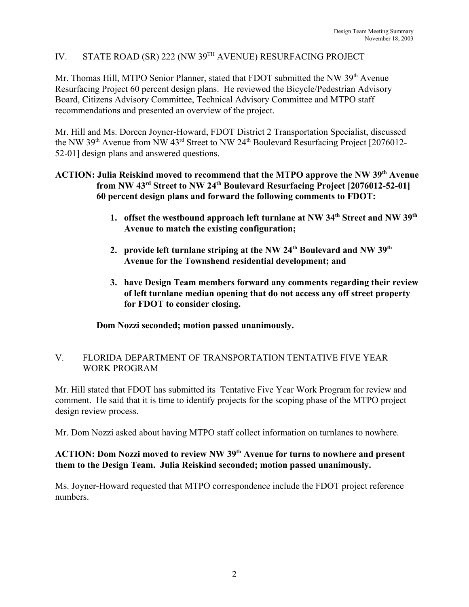# IV. STATE ROAD (SR) 222 (NW 39TH AVENUE) RESURFACING PROJECT

Mr. Thomas Hill, MTPO Senior Planner, stated that FDOT submitted the NW 39<sup>th</sup> Avenue Resurfacing Project 60 percent design plans. He reviewed the Bicycle/Pedestrian Advisory Board, Citizens Advisory Committee, Technical Advisory Committee and MTPO staff recommendations and presented an overview of the project.

Mr. Hill and Ms. Doreen Joyner-Howard, FDOT District 2 Transportation Specialist, discussed the NW 39<sup>th</sup> Avenue from NW 43<sup>rd</sup> Street to NW 24<sup>th</sup> Boulevard Resurfacing Project [2076012-52-01] design plans and answered questions.

## **ACTION: Julia Reiskind moved to recommend that the MTPO approve the NW 39th Avenue from NW 43rd Street to NW 24th Boulevard Resurfacing Project [2076012-52-01] 60 percent design plans and forward the following comments to FDOT:**

- **1. offset the westbound approach left turnlane at NW 34th Street and NW 39th Avenue to match the existing configuration;**
- 2. provide left turnlane striping at the NW 24<sup>th</sup> Boulevard and NW 39<sup>th</sup> **Avenue for the Townshend residential development; and**
- **3. have Design Team members forward any comments regarding their review of left turnlane median opening that do not access any off street property for FDOT to consider closing.**

**Dom Nozzi seconded; motion passed unanimously.**

## V. FLORIDA DEPARTMENT OF TRANSPORTATION TENTATIVE FIVE YEAR WORK PROGRAM

Mr. Hill stated that FDOT has submitted its Tentative Five Year Work Program for review and comment. He said that it is time to identify projects for the scoping phase of the MTPO project design review process.

Mr. Dom Nozzi asked about having MTPO staff collect information on turnlanes to nowhere.

## **ACTION: Dom Nozzi moved to review NW 39th Avenue for turns to nowhere and present them to the Design Team. Julia Reiskind seconded; motion passed unanimously.**

Ms. Joyner-Howard requested that MTPO correspondence include the FDOT project reference numbers.